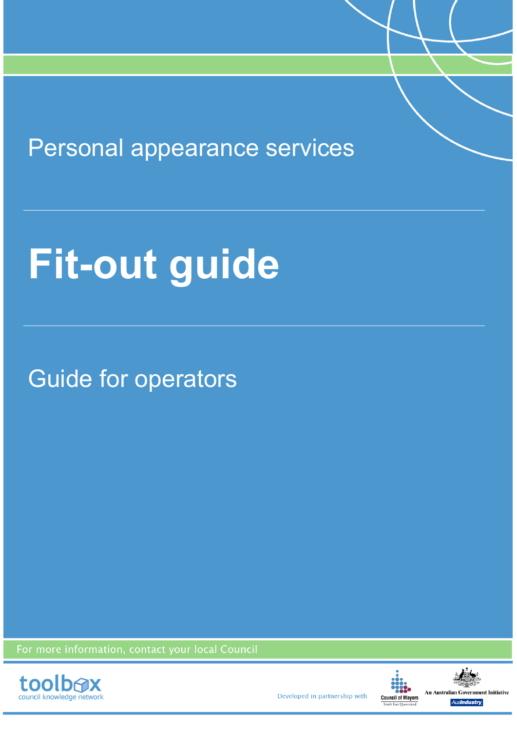# Personal appearance services

# **Fit-out guide**

# Guide for operators

For more information, contact your local Council





Developed in partnership with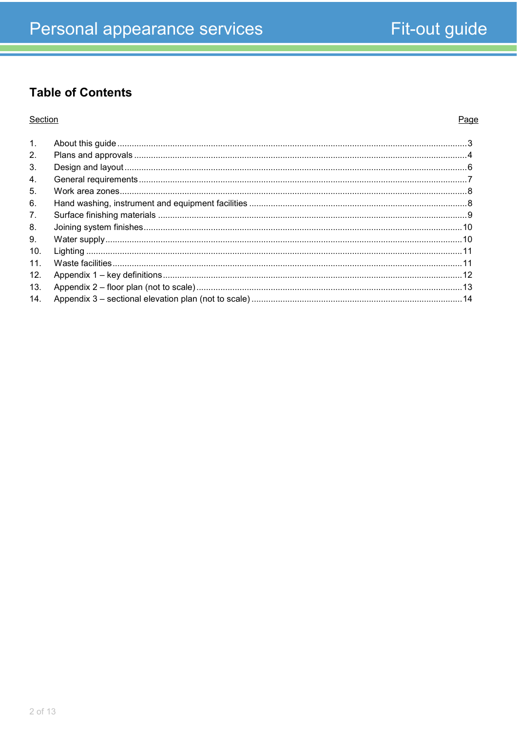# **Table of Contents**

#### Section

#### Page

| 1.              |  |
|-----------------|--|
| 2.              |  |
| 3.              |  |
| 4.              |  |
| 5.              |  |
| 6.              |  |
| 7.              |  |
| 8.              |  |
| 9.              |  |
| 10 <sub>1</sub> |  |
| 11 <sub>1</sub> |  |
| 12.             |  |
| 13.             |  |
| 14.             |  |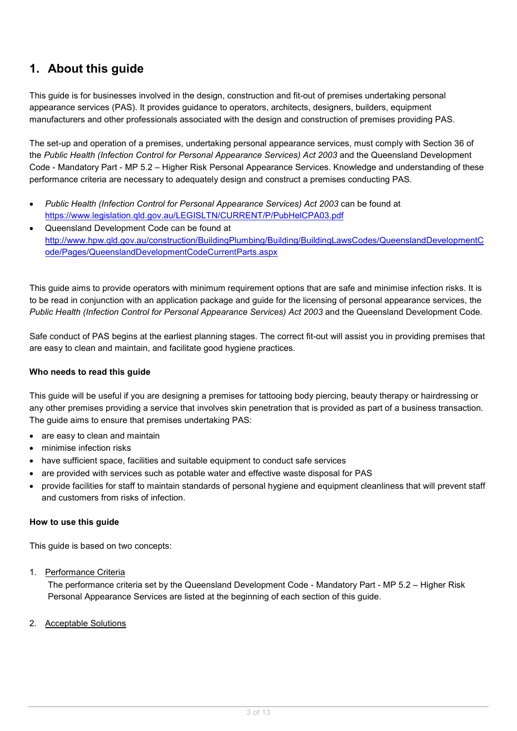# **1. About this guide**

This guide is for businesses involved in the design, construction and fit-out of premises undertaking personal appearance services (PAS). It provides guidance to operators, architects, designers, builders, equipment manufacturers and other professionals associated with the design and construction of premises providing PAS.

The set-up and operation of a premises, undertaking personal appearance services, must comply with Section 36 of the *Public Health (Infection Control for Personal Appearance Services) Act 2003* and the Queensland Development Code - Mandatory Part - MP 5.2 – Higher Risk Personal Appearance Services. Knowledge and understanding of these performance criteria are necessary to adequately design and construct a premises conducting PAS.

- *Public Health (Infection Control for Personal Appearance Services) Act 2003* can be found at <https://www.legislation.qld.gov.au/LEGISLTN/CURRENT/P/PubHelCPA03.pdf>
- Queensland Development Code can be found at [http://www.hpw.qld.gov.au/construction/BuildingPlumbing/Building/BuildingLawsCodes/QueenslandDevelopmentC](http://www.hpw.qld.gov.au/construction/BuildingPlumbing/Building/BuildingLawsCodes/QueenslandDevelopmentCode/Pages/QueenslandDevelopmentCodeCurrentParts.aspx) [ode/Pages/QueenslandDevelopmentCodeCurrentParts.aspx](http://www.hpw.qld.gov.au/construction/BuildingPlumbing/Building/BuildingLawsCodes/QueenslandDevelopmentCode/Pages/QueenslandDevelopmentCodeCurrentParts.aspx)

This guide aims to provide operators with minimum requirement options that are safe and minimise infection risks. It is to be read in conjunction with an application package and guide for the licensing of personal appearance services, the *Public Health (Infection Control for Personal Appearance Services) Act 2003* and the Queensland Development Code.

Safe conduct of PAS begins at the earliest planning stages. The correct fit-out will assist you in providing premises that are easy to clean and maintain, and facilitate good hygiene practices.

#### **Who needs to read this guide**

This guide will be useful if you are designing a premises for tattooing body piercing, beauty therapy or hairdressing or any other premises providing a service that involves skin penetration that is provided as part of a business transaction. The guide aims to ensure that premises undertaking PAS:

- are easy to clean and maintain
- minimise infection risks
- have sufficient space, facilities and suitable equipment to conduct safe services
- are provided with services such as potable water and effective waste disposal for PAS
- provide facilities for staff to maintain standards of personal hygiene and equipment cleanliness that will prevent staff and customers from risks of infection.

#### **How to use this guide**

This guide is based on two concepts:

1. Performance Criteria

The performance criteria set by the Queensland Development Code - Mandatory Part - MP 5.2 – Higher Risk Personal Appearance Services are listed at the beginning of each section of this guide.

2. Acceptable Solutions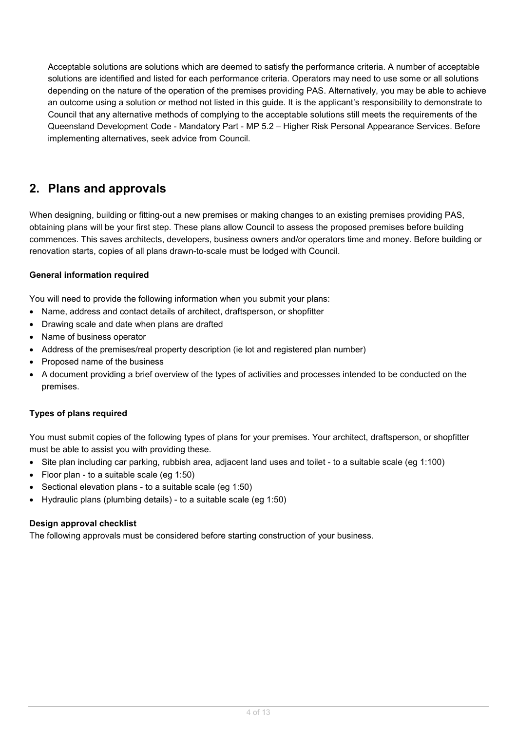Acceptable solutions are solutions which are deemed to satisfy the performance criteria. A number of acceptable solutions are identified and listed for each performance criteria. Operators may need to use some or all solutions depending on the nature of the operation of the premises providing PAS. Alternatively, you may be able to achieve an outcome using a solution or method not listed in this guide. It is the applicant's responsibility to demonstrate to Council that any alternative methods of complying to the acceptable solutions still meets the requirements of the Queensland Development Code - Mandatory Part - MP 5.2 – Higher Risk Personal Appearance Services. Before implementing alternatives, seek advice from Council.

# **2. Plans and approvals**

When designing, building or fitting-out a new premises or making changes to an existing premises providing PAS, obtaining plans will be your first step. These plans allow Council to assess the proposed premises before building commences. This saves architects, developers, business owners and/or operators time and money. Before building or renovation starts, copies of all plans drawn-to-scale must be lodged with Council.

#### **General information required**

You will need to provide the following information when you submit your plans:

- Name, address and contact details of architect, draftsperson, or shopfitter
- Drawing scale and date when plans are drafted
- Name of business operator
- Address of the premises/real property description (ie lot and registered plan number)
- Proposed name of the business
- A document providing a brief overview of the types of activities and processes intended to be conducted on the premises.

#### **Types of plans required**

You must submit copies of the following types of plans for your premises. Your architect, draftsperson, or shopfitter must be able to assist you with providing these.

- Site plan including car parking, rubbish area, adjacent land uses and toilet to a suitable scale (eg 1:100)
- Floor plan to a suitable scale (eg 1:50)
- Sectional elevation plans to a suitable scale (eg 1:50)
- Hydraulic plans (plumbing details) to a suitable scale (eg 1:50)

#### **Design approval checklist**

The following approvals must be considered before starting construction of your business.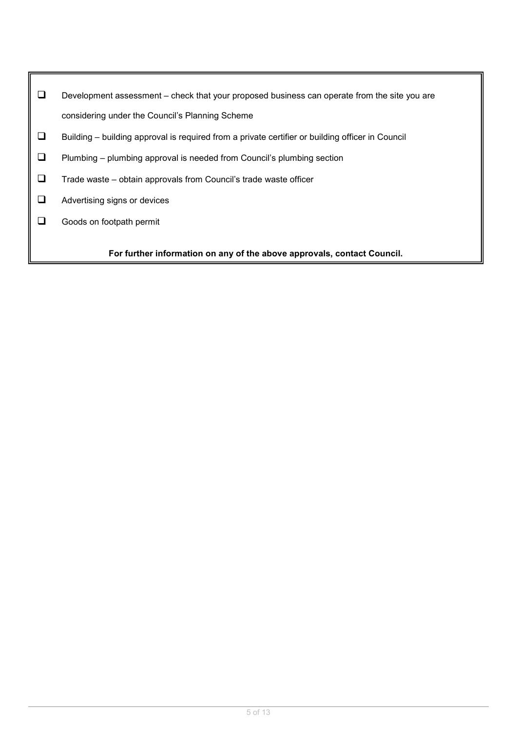- Development assessment check that your proposed business can operate from the site you are considering under the Council's Planning Scheme
- Building building approval is required from a private certifier or building officer in Council
- $\Box$  Plumbing plumbing approval is needed from Council's plumbing section
- $\Box$  Trade waste obtain approvals from Council's trade waste officer
- $\Box$  Advertising signs or devices
- Goods on footpath permit

**For further information on any of the above approvals, contact Council.**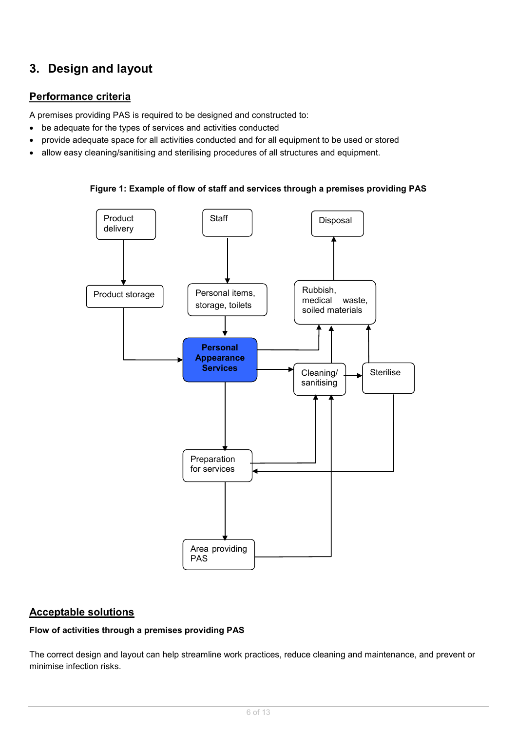# **3. Design and layout**

#### **Performance criteria**

A premises providing PAS is required to be designed and constructed to:

- be adequate for the types of services and activities conducted
- provide adequate space for all activities conducted and for all equipment to be used or stored
- allow easy cleaning/sanitising and sterilising procedures of all structures and equipment.



**Figure 1: Example of flow of staff and services through a premises providing PAS** 

#### **Acceptable solutions**

#### **Flow of activities through a premises providing PAS**

The correct design and layout can help streamline work practices, reduce cleaning and maintenance, and prevent or minimise infection risks.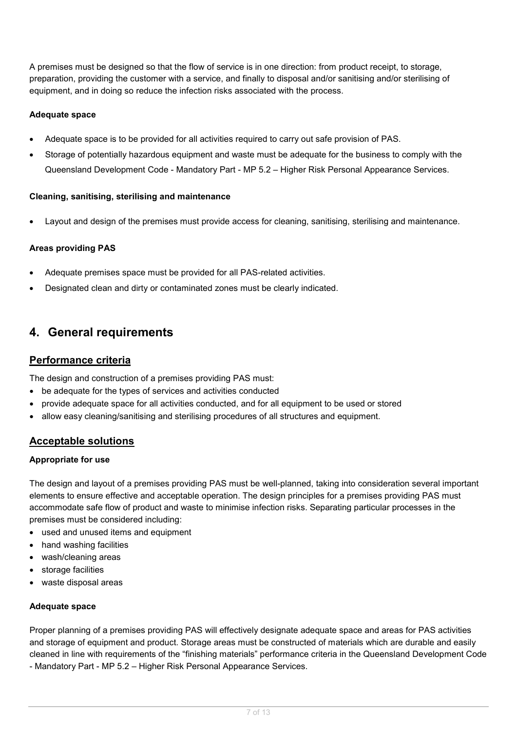A premises must be designed so that the flow of service is in one direction: from product receipt, to storage, preparation, providing the customer with a service, and finally to disposal and/or sanitising and/or sterilising of equipment, and in doing so reduce the infection risks associated with the process.

#### **Adequate space**

- Adequate space is to be provided for all activities required to carry out safe provision of PAS.
- Storage of potentially hazardous equipment and waste must be adequate for the business to comply with the Queensland Development Code - Mandatory Part - MP 5.2 – Higher Risk Personal Appearance Services.

#### **Cleaning, sanitising, sterilising and maintenance**

• Layout and design of the premises must provide access for cleaning, sanitising, sterilising and maintenance.

#### **Areas providing PAS**

- Adequate premises space must be provided for all PAS-related activities.
- Designated clean and dirty or contaminated zones must be clearly indicated.

# **4. General requirements**

#### **Performance criteria**

The design and construction of a premises providing PAS must:

- be adequate for the types of services and activities conducted
- provide adequate space for all activities conducted, and for all equipment to be used or stored
- allow easy cleaning/sanitising and sterilising procedures of all structures and equipment.

#### **Acceptable solutions**

#### **Appropriate for use**

The design and layout of a premises providing PAS must be well-planned, taking into consideration several important elements to ensure effective and acceptable operation. The design principles for a premises providing PAS must accommodate safe flow of product and waste to minimise infection risks. Separating particular processes in the premises must be considered including:

- used and unused items and equipment
- hand washing facilities
- wash/cleaning areas
- storage facilities
- waste disposal areas

#### **Adequate space**

Proper planning of a premises providing PAS will effectively designate adequate space and areas for PAS activities and storage of equipment and product. Storage areas must be constructed of materials which are durable and easily cleaned in line with requirements of the "finishing materials" performance criteria in the Queensland Development Code - Mandatory Part - MP 5.2 – Higher Risk Personal Appearance Services.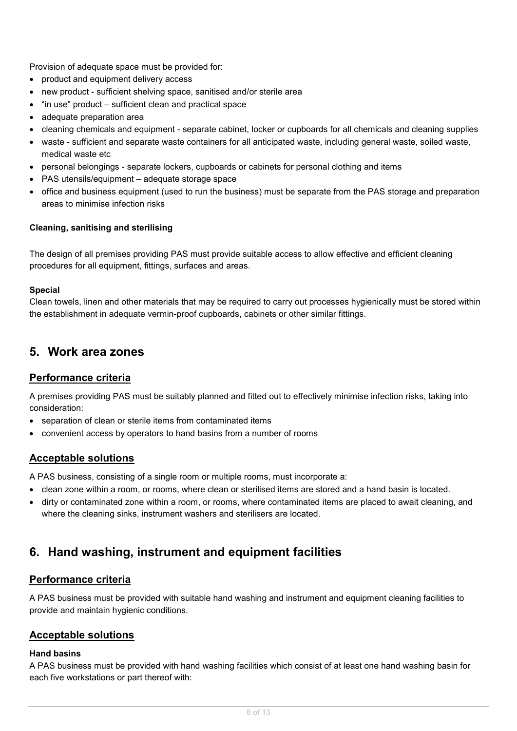Provision of adequate space must be provided for:

- product and equipment delivery access
- new product sufficient shelving space, sanitised and/or sterile area
- "in use" product sufficient clean and practical space
- adequate preparation area
- cleaning chemicals and equipment separate cabinet, locker or cupboards for all chemicals and cleaning supplies
- waste sufficient and separate waste containers for all anticipated waste, including general waste, soiled waste, medical waste etc
- personal belongings separate lockers, cupboards or cabinets for personal clothing and items
- PAS utensils/equipment adequate storage space
- office and business equipment (used to run the business) must be separate from the PAS storage and preparation areas to minimise infection risks

#### **Cleaning, sanitising and sterilising**

The design of all premises providing PAS must provide suitable access to allow effective and efficient cleaning procedures for all equipment, fittings, surfaces and areas.

#### **Special**

Clean towels, linen and other materials that may be required to carry out processes hygienically must be stored within the establishment in adequate vermin-proof cupboards, cabinets or other similar fittings.

### **5. Work area zones**

#### **Performance criteria**

A premises providing PAS must be suitably planned and fitted out to effectively minimise infection risks, taking into consideration:

- separation of clean or sterile items from contaminated items
- convenient access by operators to hand basins from a number of rooms

#### **Acceptable solutions**

A PAS business, consisting of a single room or multiple rooms, must incorporate a:

- clean zone within a room, or rooms, where clean or sterilised items are stored and a hand basin is located.
- dirty or contaminated zone within a room, or rooms, where contaminated items are placed to await cleaning, and where the cleaning sinks, instrument washers and sterilisers are located.

# **6. Hand washing, instrument and equipment facilities**

#### **Performance criteria**

A PAS business must be provided with suitable hand washing and instrument and equipment cleaning facilities to provide and maintain hygienic conditions.

#### **Acceptable solutions**

#### **Hand basins**

A PAS business must be provided with hand washing facilities which consist of at least one hand washing basin for each five workstations or part thereof with: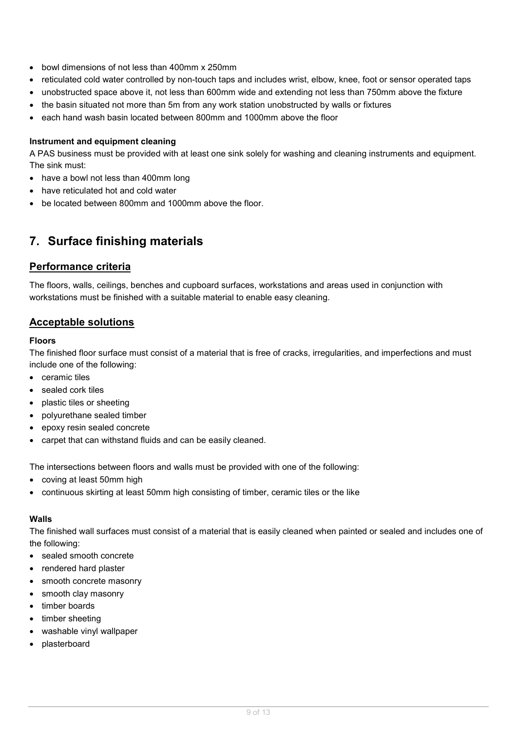- bowl dimensions of not less than 400mm x 250mm
- reticulated cold water controlled by non-touch taps and includes wrist, elbow, knee, foot or sensor operated taps
- unobstructed space above it, not less than 600mm wide and extending not less than 750mm above the fixture
- the basin situated not more than 5m from any work station unobstructed by walls or fixtures
- each hand wash basin located between 800mm and 1000mm above the floor

#### **Instrument and equipment cleaning**

A PAS business must be provided with at least one sink solely for washing and cleaning instruments and equipment. The sink must:

- have a bowl not less than 400mm long
- have reticulated hot and cold water
- be located between 800mm and 1000mm above the floor.

# **7. Surface finishing materials**

#### **Performance criteria**

The floors, walls, ceilings, benches and cupboard surfaces, workstations and areas used in conjunction with workstations must be finished with a suitable material to enable easy cleaning.

#### **Acceptable solutions**

#### **Floors**

The finished floor surface must consist of a material that is free of cracks, irregularities, and imperfections and must include one of the following:

- ceramic tiles
- sealed cork tiles
- plastic tiles or sheeting
- polyurethane sealed timber
- epoxy resin sealed concrete
- carpet that can withstand fluids and can be easily cleaned.

The intersections between floors and walls must be provided with one of the following:

- coving at least 50mm high
- continuous skirting at least 50mm high consisting of timber, ceramic tiles or the like

#### **Walls**

The finished wall surfaces must consist of a material that is easily cleaned when painted or sealed and includes one of the following:

- sealed smooth concrete
- rendered hard plaster
- smooth concrete masonry
- smooth clay masonry
- timber boards
- timber sheeting
- washable vinyl wallpaper
- plasterboard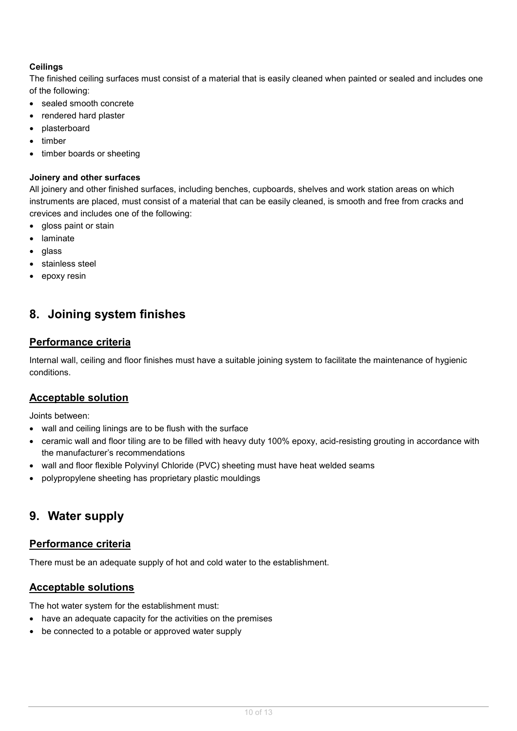#### **Ceilings**

The finished ceiling surfaces must consist of a material that is easily cleaned when painted or sealed and includes one of the following:

- sealed smooth concrete
- rendered hard plaster
- plasterboard
- timber
- timber boards or sheeting

#### **Joinery and other surfaces**

All joinery and other finished surfaces, including benches, cupboards, shelves and work station areas on which instruments are placed, must consist of a material that can be easily cleaned, is smooth and free from cracks and crevices and includes one of the following:

- gloss paint or stain
- **laminate**
- glass
- stainless steel
- epoxy resin

# **8. Joining system finishes**

#### **Performance criteria**

Internal wall, ceiling and floor finishes must have a suitable joining system to facilitate the maintenance of hygienic conditions.

#### **Acceptable solution**

Joints between:

- wall and ceiling linings are to be flush with the surface
- ceramic wall and floor tiling are to be filled with heavy duty 100% epoxy, acid-resisting grouting in accordance with the manufacturer's recommendations
- wall and floor flexible Polyvinyl Chloride (PVC) sheeting must have heat welded seams
- polypropylene sheeting has proprietary plastic mouldings

# **9. Water supply**

#### **Performance criteria**

There must be an adequate supply of hot and cold water to the establishment.

#### **Acceptable solutions**

The hot water system for the establishment must:

- have an adequate capacity for the activities on the premises
- be connected to a potable or approved water supply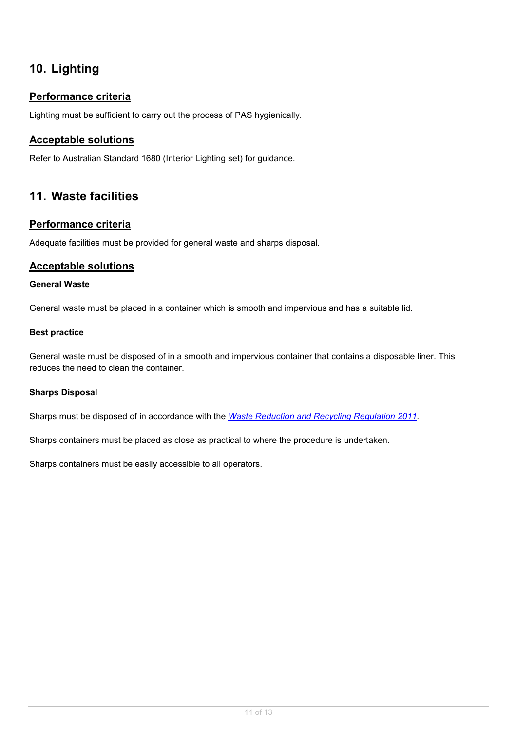# **10. Lighting**

#### **Performance criteria**

Lighting must be sufficient to carry out the process of PAS hygienically.

#### **Acceptable solutions**

Refer to Australian Standard 1680 (Interior Lighting set) for guidance.

# **11. Waste facilities**

#### **Performance criteria**

Adequate facilities must be provided for general waste and sharps disposal.

#### **Acceptable solutions**

#### **General Waste**

General waste must be placed in a container which is smooth and impervious and has a suitable lid.

#### **Best practice**

General waste must be disposed of in a smooth and impervious container that contains a disposable liner. This reduces the need to clean the container.

#### **Sharps Disposal**

Sharps must be disposed of in accordance with the *[Waste Reduction and Recycling Regulation 2011](https://www.legislation.qld.gov.au/LEGISLTN/CURRENT/W/WasteRedRecR11.pdf)*.

Sharps containers must be placed as close as practical to where the procedure is undertaken.

Sharps containers must be easily accessible to all operators.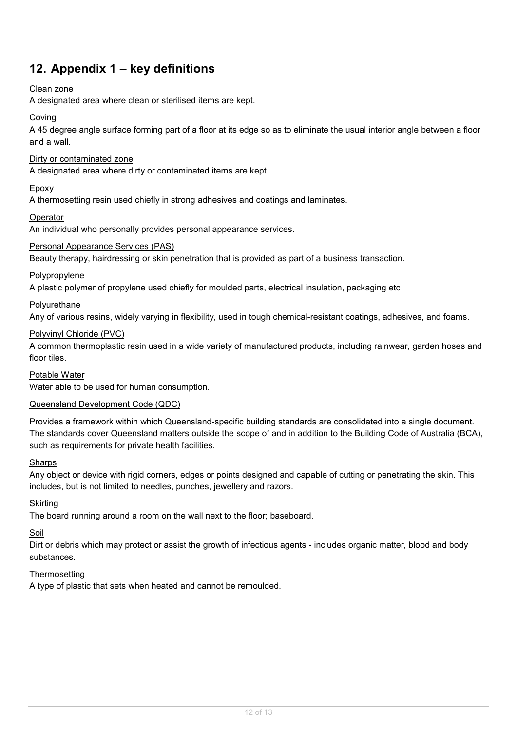# **12. Appendix 1 – key definitions**

#### Clean zone

A designated area where clean or sterilised items are kept.

#### Coving

A 45 degree angle surface forming part of a floor at its edge so as to eliminate the usual interior angle between a floor and a wall.

#### Dirty or contaminated zone

A designated area where dirty or contaminated items are kept.

#### Epoxy

A thermosetting resin used chiefly in strong adhesives and coatings and laminates.

#### **Operator**

An individual who personally provides personal appearance services.

#### Personal Appearance Services (PAS)

Beauty therapy, hairdressing or skin penetration that is provided as part of a business transaction.

#### Polypropylene

A plastic polymer of propylene used chiefly for moulded parts, electrical insulation, packaging etc

#### Polyurethane

Any of various resins, widely varying in flexibility, used in tough chemical-resistant coatings, adhesives, and foams.

#### Polyvinyl Chloride (PVC)

A common thermoplastic resin used in a wide variety of manufactured products, including rainwear, garden hoses and floor tiles.

#### Potable Water

Water able to be used for human consumption.

#### Queensland Development Code (QDC)

Provides a framework within which Queensland-specific building standards are consolidated into a single document. The standards cover Queensland matters outside the scope of and in addition to the Building Code of Australia (BCA), such as requirements for private health facilities.

#### **Sharps**

Any object or device with rigid corners, edges or points designed and capable of cutting or penetrating the skin. This includes, but is not limited to needles, punches, jewellery and razors.

#### Skirting

The board running around a room on the wall next to the floor; baseboard.

#### Soil

Dirt or debris which may protect or assist the growth of infectious agents - includes organic matter, blood and body substances.

#### **Thermosetting**

A type of plastic that sets when heated and cannot be remoulded.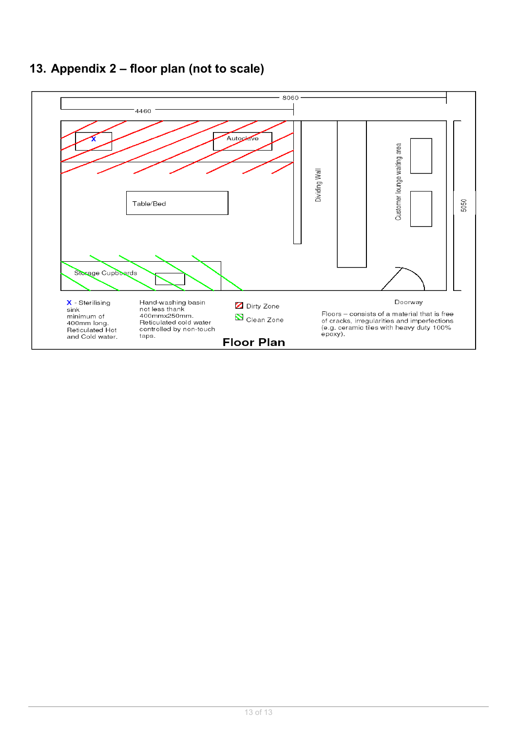

# **13. Appendix 2 – floor plan (not to scale)**